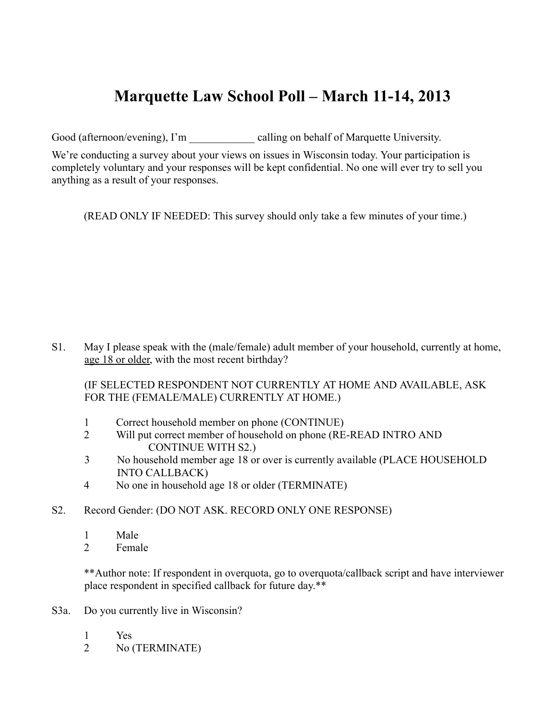# **Marquette Law School Poll – March 11-14, 2013**

Good (afternoon/evening), I'm calling on behalf of Marquette University.

We're conducting a survey about your views on issues in Wisconsin today. Your participation is completely voluntary and your responses will be kept confidential. No one will ever try to sell you anything as a result of your responses.

(READ ONLY IF NEEDED: This survey should only take a few minutes of your time.)

S1. May I please speak with the (male/female) adult member of your household, currently at home, age 18 or older, with the most recent birthday?

(IF SELECTED RESPONDENT NOT CURRENTLY AT HOME AND AVAILABLE, ASK FOR THE (FEMALE/MALE) CURRENTLY AT HOME.)

- 1 Correct household member on phone (CONTINUE)
- 2 Will put correct member of household on phone (RE-READ INTRO AND CONTINUE WITH S2.)
- 3 No household member age 18 or over is currently available (PLACE HOUSEHOLD INTO CALLBACK)
- 4 No one in household age 18 or older (TERMINATE)
- S2. Record Gender: (DO NOT ASK. RECORD ONLY ONE RESPONSE)
	- 1 Male
	- 2 Female

\*\*Author note: If respondent in overquota, go to overquota/callback script and have interviewer place respondent in specified callback for future day.\*\*

- S3a. Do you currently live in Wisconsin?
	- 1 Yes
	- 2 No (TERMINATE)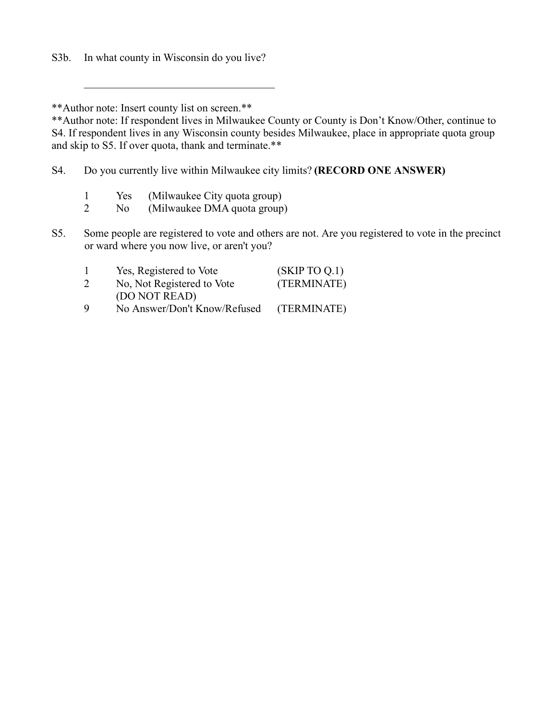S3b. In what county in Wisconsin do you live?

\*\*Author note: Insert county list on screen.\*\*

\*\*Author note: If respondent lives in Milwaukee County or County is Don't Know/Other, continue to S4. If respondent lives in any Wisconsin county besides Milwaukee, place in appropriate quota group and skip to S5. If over quota, thank and terminate.\*\*

S4. Do you currently live within Milwaukee city limits? **(RECORD ONE ANSWER)**

1 Yes (Milwaukee City quota group)

 $\mathcal{L}_\text{max}$  , where  $\mathcal{L}_\text{max}$  and  $\mathcal{L}_\text{max}$  and  $\mathcal{L}_\text{max}$ 

- 2 No (Milwaukee DMA quota group)
- S5. Some people are registered to vote and others are not. Are you registered to vote in the precinct or ward where you now live, or aren't you?

|   | Yes, Registered to Vote      | (SKIPTOQ.1) |
|---|------------------------------|-------------|
| 2 | No, Not Registered to Vote   | (TERMINATE) |
|   | (DO NOT READ)                |             |
| Q | No Answer/Don't Know/Refused | (TERMINATE) |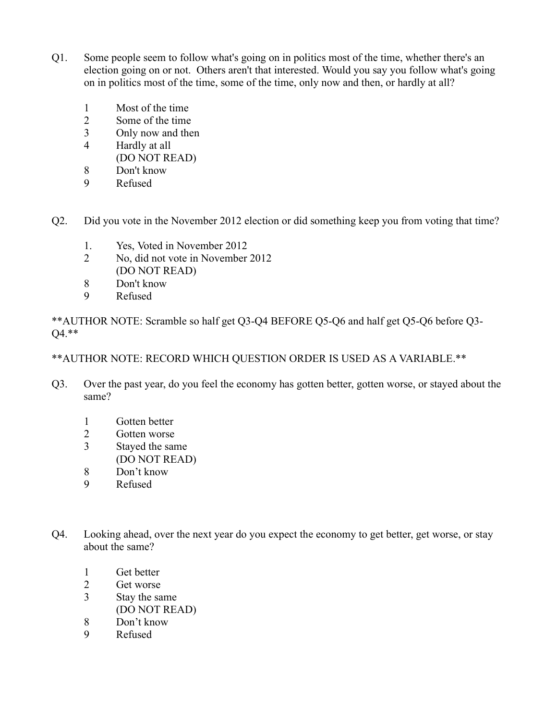- Q1. Some people seem to follow what's going on in politics most of the time, whether there's an election going on or not. Others aren't that interested. Would you say you follow what's going on in politics most of the time, some of the time, only now and then, or hardly at all?
	- 1 Most of the time
	- 2 Some of the time
	- 3 Only now and then
	- 4 Hardly at all
	- (DO NOT READ)
	- 8 Don't know
	- 9 Refused
- Q2. Did you vote in the November 2012 election or did something keep you from voting that time?
	- 1. Yes, Voted in November 2012
	- 2 No, did not vote in November 2012 (DO NOT READ)
	- 8 Don't know<br>9 Refused
	- **Refused**

\*\*AUTHOR NOTE: Scramble so half get Q3-Q4 BEFORE Q5-Q6 and half get Q5-Q6 before Q3- Q4.\*\*

\*\*AUTHOR NOTE: RECORD WHICH QUESTION ORDER IS USED AS A VARIABLE.\*\*

- Q3. Over the past year, do you feel the economy has gotten better, gotten worse, or stayed about the same?
	- 1 Gotten better
	- 2 Gotten worse
	- 3 Stayed the same
	- (DO NOT READ)
	- 8 Don't know
	- 9 Refused
- Q4. Looking ahead, over the next year do you expect the economy to get better, get worse, or stay about the same?
	- 1 Get better
	- 2 Get worse
	- 3 Stay the same
		- (DO NOT READ)
	- 8 Don't know
	- 9 Refused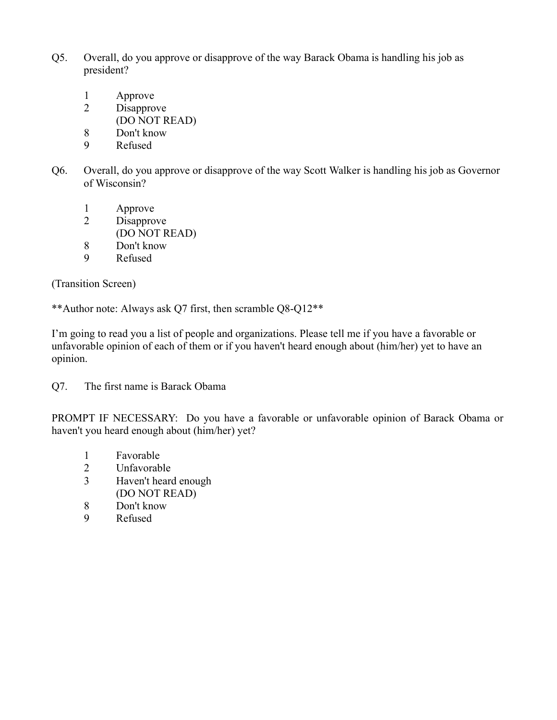- Q5. Overall, do you approve or disapprove of the way Barack Obama is handling his job as president?
	- 1 Approve
	- 2 Disapprove
		- (DO NOT READ)
	- 8 Don't know
	- 9 Refused
- Q6. Overall, do you approve or disapprove of the way Scott Walker is handling his job as Governor of Wisconsin?
	- 1 Approve
	- 2 Disapprove
		- (DO NOT READ)
	- 8 Don't know
	- 9 Refused

(Transition Screen)

\*\*Author note: Always ask Q7 first, then scramble Q8-Q12\*\*

I'm going to read you a list of people and organizations. Please tell me if you have a favorable or unfavorable opinion of each of them or if you haven't heard enough about (him/her) yet to have an opinion.

Q7. The first name is Barack Obama

PROMPT IF NECESSARY: Do you have a favorable or unfavorable opinion of Barack Obama or haven't you heard enough about (him/her) yet?

- 1 Favorable
- 2 Unfavorable<br>3 Haven't heard
- Haven't heard enough (DO NOT READ)
- 8 Don't know
- 9 Refused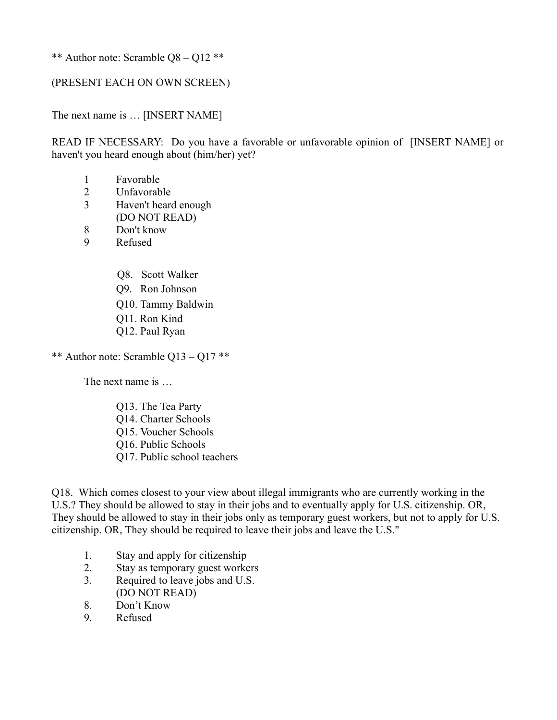\*\* Author note: Scramble Q8 – Q12 \*\*

#### (PRESENT EACH ON OWN SCREEN)

The next name is … [INSERT NAME]

READ IF NECESSARY: Do you have a favorable or unfavorable opinion of [INSERT NAME] or haven't you heard enough about (him/her) yet?

- 1 Favorable
- 2 Unfavorable
- 3 Haven't heard enough (DO NOT READ)
- 8 Don't know
- 9 Refused
	- Q8. Scott Walker
	- Q9. Ron Johnson
	- Q10. Tammy Baldwin
	- Q11. Ron Kind
	- Q12. Paul Ryan

\*\* Author note: Scramble Q13 – Q17 \*\*

The next name is

Q13. The Tea Party Q14. Charter Schools Q15. Voucher Schools Q16. Public Schools Q17. Public school teachers

Q18. Which comes closest to your view about illegal immigrants who are currently working in the U.S.? They should be allowed to stay in their jobs and to eventually apply for U.S. citizenship. OR, They should be allowed to stay in their jobs only as temporary guest workers, but not to apply for U.S. citizenship. OR, They should be required to leave their jobs and leave the U.S."

- 1. Stay and apply for citizenship
- 2. Stay as temporary guest workers
- 3. Required to leave jobs and U.S. (DO NOT READ)
- 8. Don't Know
- 9. Refused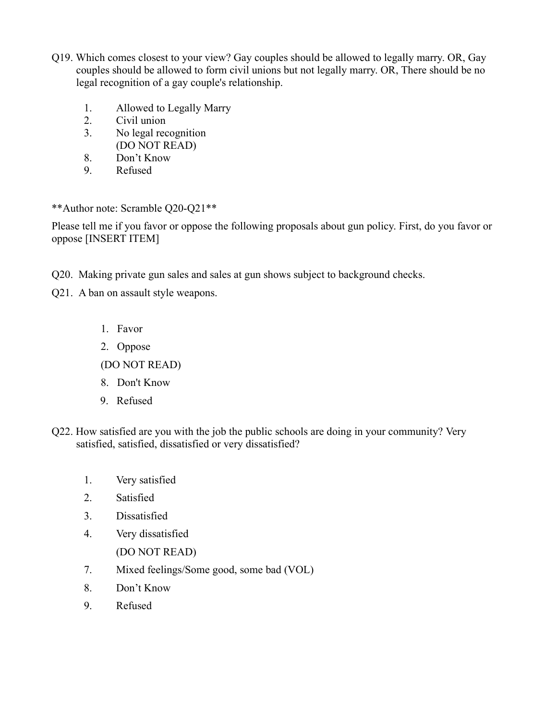- Q19. Which comes closest to your view? Gay couples should be allowed to legally marry. OR, Gay couples should be allowed to form civil unions but not legally marry. OR, There should be no legal recognition of a gay couple's relationship.
	- 1. Allowed to Legally Marry
	- 2. Civil union
	- 3. No legal recognition (DO NOT READ)
	- 8. Don't Know
	- 9. Refused

\*\*Author note: Scramble Q20-Q21\*\*

Please tell me if you favor or oppose the following proposals about gun policy. First, do you favor or oppose [INSERT ITEM]

- Q20. Making private gun sales and sales at gun shows subject to background checks.
- Q21. A ban on assault style weapons.
	- 1. Favor
	- 2. Oppose

(DO NOT READ)

- 8. Don't Know
- 9. Refused
- Q22. How satisfied are you with the job the public schools are doing in your community? Very satisfied, satisfied, dissatisfied or very dissatisfied?
	- 1. Very satisfied
	- 2. Satisfied
	- 3. Dissatisfied
	- 4. Very dissatisfied
		- (DO NOT READ)
	- 7. Mixed feelings/Some good, some bad (VOL)
	- 8. Don't Know
	- 9. Refused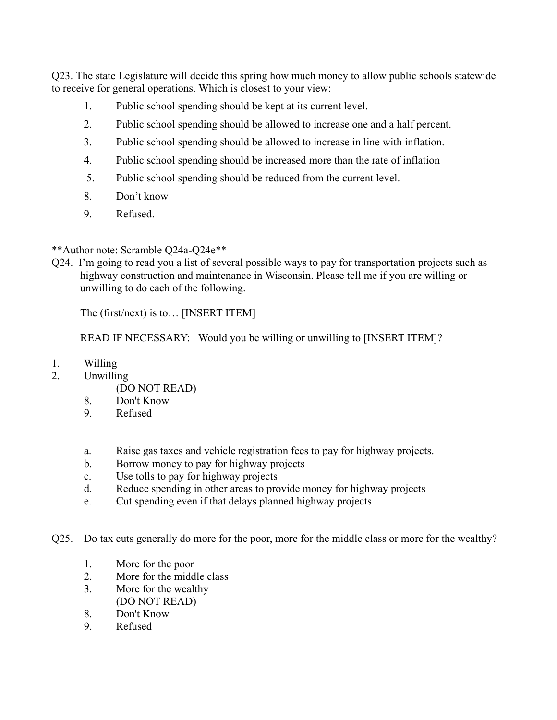Q23. The state Legislature will decide this spring how much money to allow public schools statewide to receive for general operations. Which is closest to your view:

- 1. Public school spending should be kept at its current level.
- 2. Public school spending should be allowed to increase one and a half percent.
- 3. Public school spending should be allowed to increase in line with inflation.
- 4. Public school spending should be increased more than the rate of inflation
- 5. Public school spending should be reduced from the current level.
- 8. Don't know
- 9. Refused.

### \*\*Author note: Scramble Q24a-Q24e\*\*

Q24. I'm going to read you a list of several possible ways to pay for transportation projects such as highway construction and maintenance in Wisconsin. Please tell me if you are willing or unwilling to do each of the following.

The (first/next) is to… [INSERT ITEM]

READ IF NECESSARY: Would you be willing or unwilling to [INSERT ITEM]?

- 1. Willing
- 2. Unwilling
	- (DO NOT READ)
	- 8. Don't Know
	- 9. Refused
	- a. Raise gas taxes and vehicle registration fees to pay for highway projects.
	- b. Borrow money to pay for highway projects
	- c. Use tolls to pay for highway projects
	- d. Reduce spending in other areas to provide money for highway projects
	- e. Cut spending even if that delays planned highway projects
- Q25. Do tax cuts generally do more for the poor, more for the middle class or more for the wealthy?
	- 1. More for the poor
	- 2. More for the middle class
	- 3. More for the wealthy (DO NOT READ)
	- 8. Don't Know
	- 9. Refused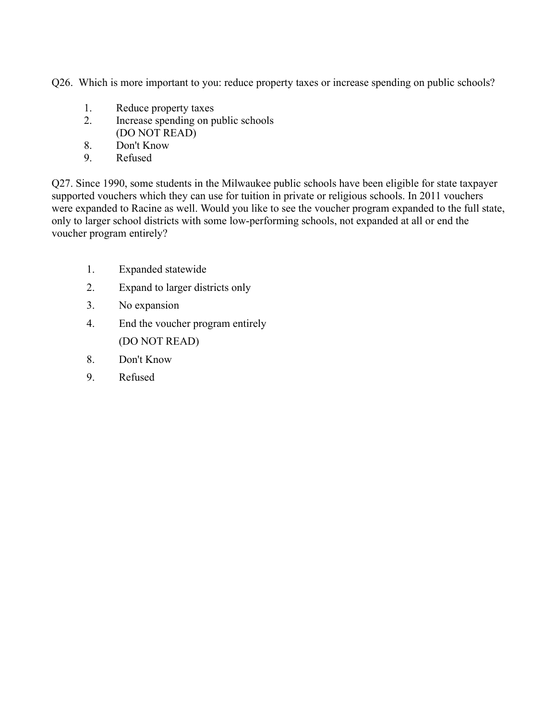Q26. Which is more important to you: reduce property taxes or increase spending on public schools?

- 1. Reduce property taxes
- 2. Increase spending on public schools (DO NOT READ)
- 8. Don't Know
- 9. Refused

Q27. Since 1990, some students in the Milwaukee public schools have been eligible for state taxpayer supported vouchers which they can use for tuition in private or religious schools. In 2011 vouchers were expanded to Racine as well. Would you like to see the voucher program expanded to the full state, only to larger school districts with some low-performing schools, not expanded at all or end the voucher program entirely?

- 1. Expanded statewide
- 2. Expand to larger districts only
- 3. No expansion
- 4. End the voucher program entirely (DO NOT READ)
- 8. Don't Know
- 9. Refused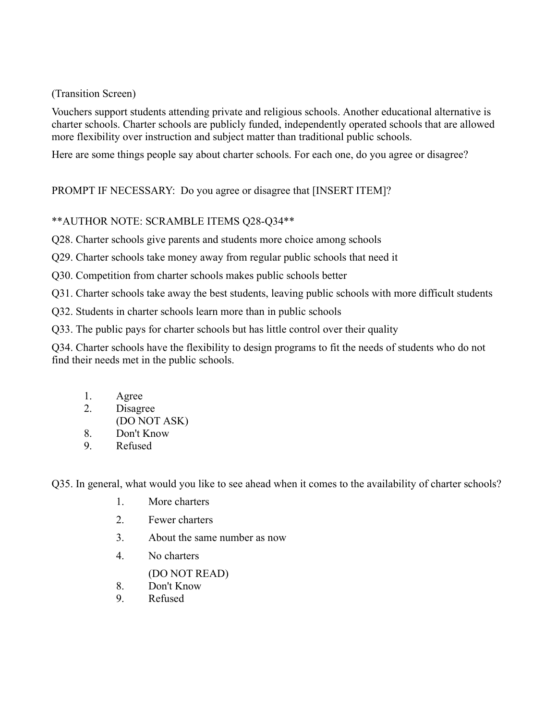(Transition Screen)

Vouchers support students attending private and religious schools. Another educational alternative is charter schools. Charter schools are publicly funded, independently operated schools that are allowed more flexibility over instruction and subject matter than traditional public schools.

Here are some things people say about charter schools. For each one, do you agree or disagree?

PROMPT IF NECESSARY: Do you agree or disagree that [INSERT ITEM]?

## \*\*AUTHOR NOTE: SCRAMBLE ITEMS Q28-Q34\*\*

Q28. Charter schools give parents and students more choice among schools

Q29. Charter schools take money away from regular public schools that need it

Q30. Competition from charter schools makes public schools better

Q31. Charter schools take away the best students, leaving public schools with more difficult students

Q32. Students in charter schools learn more than in public schools

Q33. The public pays for charter schools but has little control over their quality

Q34. Charter schools have the flexibility to design programs to fit the needs of students who do not find their needs met in the public schools.

- 1. Agree
- 2. Disagree
- (DO NOT ASK)
- 8. Don't Know
- 9. Refused

Q35. In general, what would you like to see ahead when it comes to the availability of charter schools?

- 1. More charters
- 2. Fewer charters
- 3. About the same number as now
- 4. No charters

(DO NOT READ)

- 8. Don't Know
- 9. Refused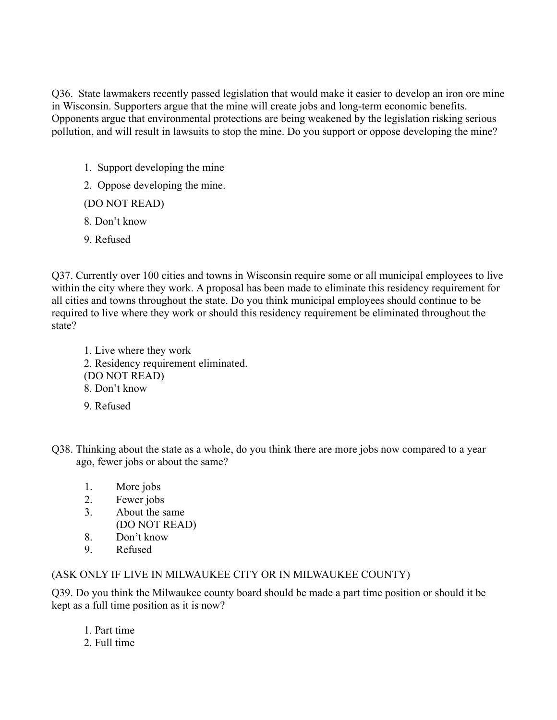Q36. State lawmakers recently passed legislation that would make it easier to develop an iron ore mine in Wisconsin. Supporters argue that the mine will create jobs and long-term economic benefits. Opponents argue that environmental protections are being weakened by the legislation risking serious pollution, and will result in lawsuits to stop the mine. Do you support or oppose developing the mine?

- 1. Support developing the mine
- 2. Oppose developing the mine.

(DO NOT READ)

- 8. Don't know
- 9. Refused

Q37. Currently over 100 cities and towns in Wisconsin require some or all municipal employees to live within the city where they work. A proposal has been made to eliminate this residency requirement for all cities and towns throughout the state. Do you think municipal employees should continue to be required to live where they work or should this residency requirement be eliminated throughout the state?

1. Live where they work 2. Residency requirement eliminated. (DO NOT READ) 8. Don't know

- 9. Refused
- Q38. Thinking about the state as a whole, do you think there are more jobs now compared to a year ago, fewer jobs or about the same?
	- 1. More jobs
	- 2. Fewer jobs
	- 3. About the same
		- (DO NOT READ)
	- 8. Don't know
	- 9. Refused

## (ASK ONLY IF LIVE IN MILWAUKEE CITY OR IN MILWAUKEE COUNTY)

Q39. Do you think the Milwaukee county board should be made a part time position or should it be kept as a full time position as it is now?

- 1. Part time
- 2. Full time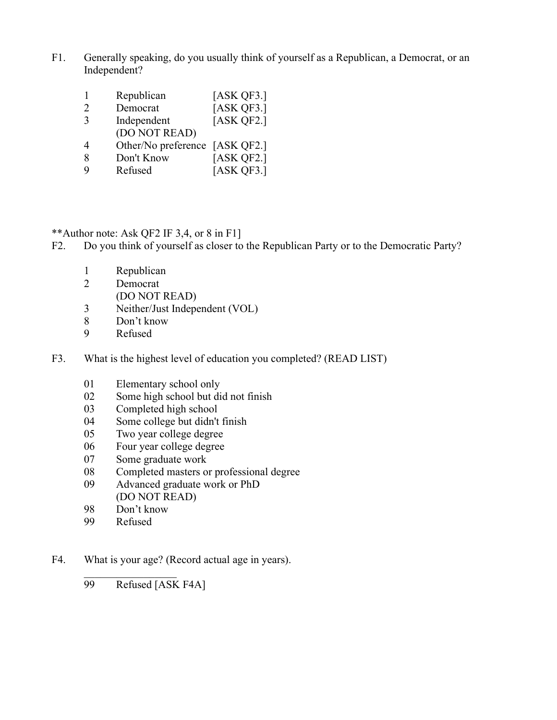F1. Generally speaking, do you usually think of yourself as a Republican, a Democrat, or an Independent?

|                             | Republican                     | [ASK QF3.] |
|-----------------------------|--------------------------------|------------|
| $\mathcal{D}_{\mathcal{L}}$ | Democrat                       | [ASK QF3.] |
| $\mathcal{E}$               | Independent                    | [ASK QF2.] |
|                             | (DO NOT READ)                  |            |
| 4                           | Other/No preference [ASK QF2.] |            |
| 8                           | Don't Know                     | [ASK QF2.] |
| 9                           | Refused                        | [ASK QF3.] |

\*\*Author note: Ask QF2 IF 3,4, or 8 in F1]

- F2. Do you think of yourself as closer to the Republican Party or to the Democratic Party?
	- Republican
	- Democrat
		- (DO NOT READ)
	- Neither/Just Independent (VOL)
	- Don't know
	- Refused
- F3. What is the highest level of education you completed? (READ LIST)
	- Elementary school only
	- Some high school but did not finish
	- Completed high school
	- Some college but didn't finish
	- Two year college degree
	- Four year college degree
	- Some graduate work
	- Completed masters or professional degree
	- Advanced graduate work or PhD (DO NOT READ)
	- Don't know
	- Refused

F4. What is your age? (Record actual age in years).

Refused [ASK F4A]

 $\mathcal{L}_\text{max}$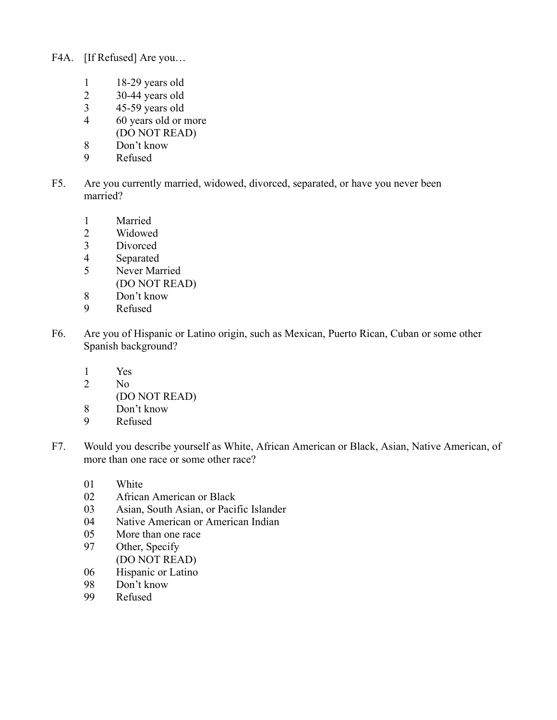- F4A. [If Refused] Are you…
	- 1 18-29 years old
	-
	- 2 30-44 years old<br>3 45-59 years old 45-59 years old
	- 4 60 years old or more (DO NOT READ)
	- 8 Don't know
	- 9 Refused
- F5. Are you currently married, widowed, divorced, separated, or have you never been married?
	- 1 Married<br>2 Widowed
	- Widowed
	- 3 Divorced
	- 4 Separated
	- 5 Never Married (DO NOT READ)
	- 8 Don't know
	- 9 Refused
- F6. Are you of Hispanic or Latino origin, such as Mexican, Puerto Rican, Cuban or some other Spanish background?
	- 1 Yes
	- 2 No
	- (DO NOT READ)
	- 8 Don't know<br>9 Refused
	- **Refused**
- F7. Would you describe yourself as White, African American or Black, Asian, Native American, of more than one race or some other race?
	- 01 White
	- 02 African American or Black
	- 03 Asian, South Asian, or Pacific Islander
	- 04 Native American or American Indian
	- 05 More than one race
	- 97 Other, Specify (DO NOT READ)
	- 06 Hispanic or Latino
	- 98 Don't know
	- 99 Refused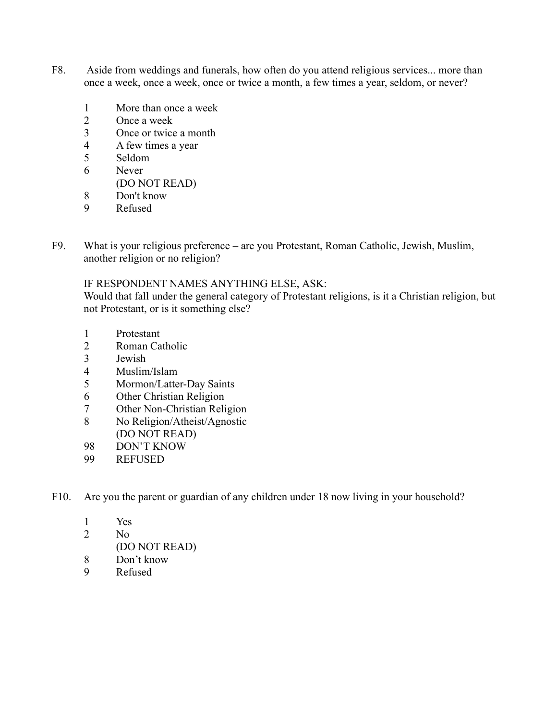- F8. Aside from weddings and funerals, how often do you attend religious services... more than once a week, once a week, once or twice a month, a few times a year, seldom, or never?
	- More than once a week
	- Once a week
	- Once or twice a month
	- A few times a year
	- Seldom
	- Never
	- (DO NOT READ)
	- Don't know
	- Refused
- F9. What is your religious preference are you Protestant, Roman Catholic, Jewish, Muslim, another religion or no religion?

#### IF RESPONDENT NAMES ANYTHING ELSE, ASK:

Would that fall under the general category of Protestant religions, is it a Christian religion, but not Protestant, or is it something else?

- Protestant
- Roman Catholic
- Jewish
- Muslim/Islam
- Mormon/Latter-Day Saints
- Other Christian Religion
- Other Non-Christian Religion
- No Religion/Atheist/Agnostic (DO NOT READ)
- DON'T KNOW
- REFUSED
- F10. Are you the parent or guardian of any children under 18 now living in your household?
	- Yes
	- No
	- (DO NOT READ)
	- Don't know
	- Refused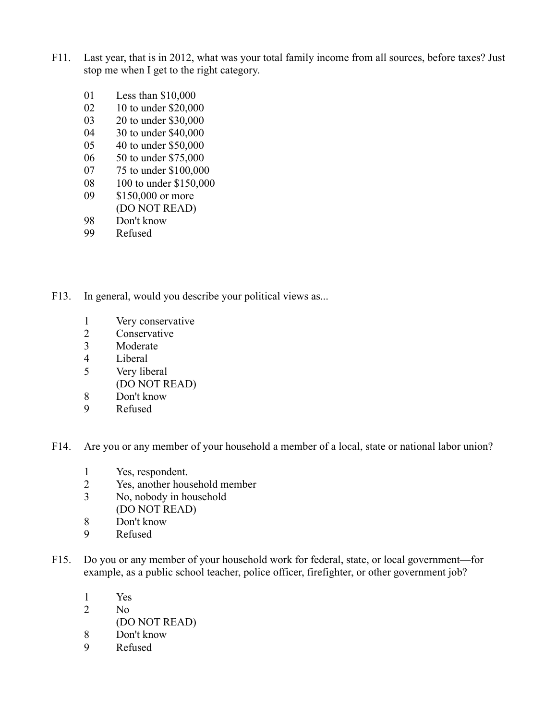- F11. Last year, that is in 2012, what was your total family income from all sources, before taxes? Just stop me when I get to the right category.
	- 01 Less than \$10,000
	- 02 10 to under \$20,000
	- 03 20 to under \$30,000
	- 04 30 to under \$40,000
	- 05 40 to under \$50,000
	- 06 50 to under \$75,000
	- 07 75 to under \$100,000
	- 08 100 to under \$150,000
	- 09 \$150,000 or more
	- (DO NOT READ)
	- 98 Don't know<br>99 Refused
	- Refused
- F13. In general, would you describe your political views as...
	- 1 Very conservative
	- 2 Conservative<br>3 Moderate
	- Moderate
	- 4 Liberal
	- 5 Very liberal
		- (DO NOT READ)
	- 8 Don't know
	- 9 Refused

F14. Are you or any member of your household a member of a local, state or national labor union?

- 1 Yes, respondent.
- 2 Yes, another household member
- 3 No, nobody in household (DO NOT READ)
- 8 Don't know
- 
- 9 Refused
- F15. Do you or any member of your household work for federal, state, or local government—for example, as a public school teacher, police officer, firefighter, or other government job?
	- 1 Yes
	- 2 No
		- (DO NOT READ)
	- 8 Don't know
	- 9 Refused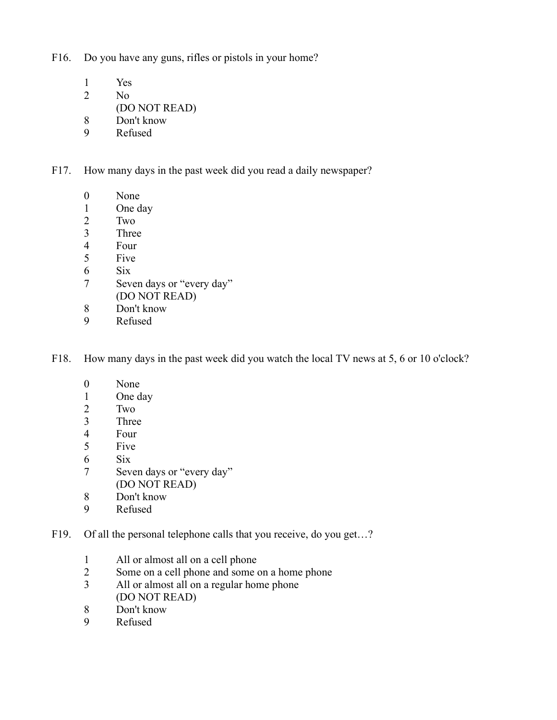F16. Do you have any guns, rifles or pistols in your home?

- 1 Yes
- 2 No
- (DO NOT READ)
- 8 Don't know
- 9 Refused

F17. How many days in the past week did you read a daily newspaper?

- 0 None
- 1 One day
- 
- 2 Two<br>3 Three **Three**
- 
- 4 Four<br>5 Five Five
- 6 Six
- 7 Seven days or "every day" (DO NOT READ)
- 8 Don't know
- 9 Refused

F18. How many days in the past week did you watch the local TV news at 5, 6 or 10 o'clock?

- 0 None
- 1 One day
- 
- 2 Two<br>3 Three **Three**
- 4 Four
- 5 Five
- 6 Six
- 7 Seven days or "every day" (DO NOT READ)
- 8 Don't know
- 9 Refused
- F19. Of all the personal telephone calls that you receive, do you get...?
	- 1 All or almost all on a cell phone<br>2 Some on a cell phone and some of
	- Some on a cell phone and some on a home phone
	- 3 All or almost all on a regular home phone (DO NOT READ)
	- 8 Don't know
	- 9 Refused